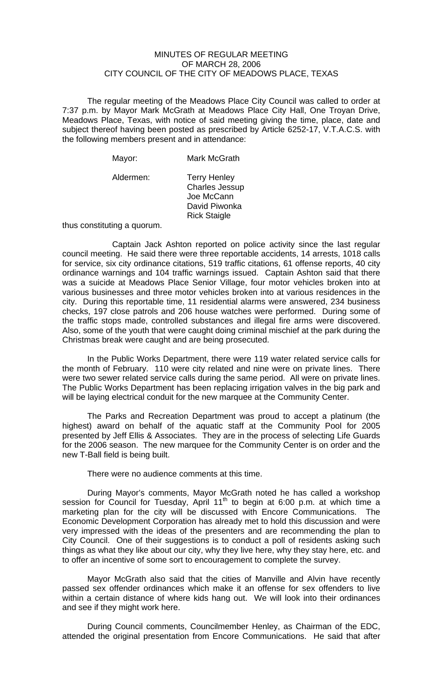## MINUTES OF REGULAR MEETING OF MARCH 28, 2006 CITY COUNCIL OF THE CITY OF MEADOWS PLACE, TEXAS

The regular meeting of the Meadows Place City Council was called to order at 7:37 p.m. by Mayor Mark McGrath at Meadows Place City Hall, One Troyan Drive, Meadows Place, Texas, with notice of said meeting giving the time, place, date and subject thereof having been posted as prescribed by Article 6252-17, V.T.A.C.S. with the following members present and in attendance:

| Mayor:    | <b>Mark McGrath</b>                                                                                |
|-----------|----------------------------------------------------------------------------------------------------|
| Aldermen: | <b>Terry Henley</b><br><b>Charles Jessup</b><br>Joe McCann<br>David Piwonka<br><b>Rick Staigle</b> |

thus constituting a quorum.

 Captain Jack Ashton reported on police activity since the last regular council meeting. He said there were three reportable accidents, 14 arrests, 1018 calls for service, six city ordinance citations, 519 traffic citations, 61 offense reports, 40 city ordinance warnings and 104 traffic warnings issued. Captain Ashton said that there was a suicide at Meadows Place Senior Village, four motor vehicles broken into at various businesses and three motor vehicles broken into at various residences in the city. During this reportable time, 11 residential alarms were answered, 234 business checks, 197 close patrols and 206 house watches were performed. During some of the traffic stops made, controlled substances and illegal fire arms were discovered. Also, some of the youth that were caught doing criminal mischief at the park during the Christmas break were caught and are being prosecuted.

 In the Public Works Department, there were 119 water related service calls for the month of February. 110 were city related and nine were on private lines. There were two sewer related service calls during the same period. All were on private lines. The Public Works Department has been replacing irrigation valves in the big park and will be laying electrical conduit for the new marquee at the Community Center.

 The Parks and Recreation Department was proud to accept a platinum (the highest) award on behalf of the aquatic staff at the Community Pool for 2005 presented by Jeff Ellis & Associates. They are in the process of selecting Life Guards for the 2006 season. The new marquee for the Community Center is on order and the new T-Ball field is being built.

There were no audience comments at this time.

During Mayor's comments, Mayor McGrath noted he has called a workshop session for Council for Tuesday, April 11<sup>th</sup> to begin at 6:00 p.m. at which time a marketing plan for the city will be discussed with Encore Communications. The Economic Development Corporation has already met to hold this discussion and were very impressed with the ideas of the presenters and are recommending the plan to City Council. One of their suggestions is to conduct a poll of residents asking such things as what they like about our city, why they live here, why they stay here, etc. and to offer an incentive of some sort to encouragement to complete the survey.

Mayor McGrath also said that the cities of Manville and Alvin have recently passed sex offender ordinances which make it an offense for sex offenders to live within a certain distance of where kids hang out. We will look into their ordinances and see if they might work here.

During Council comments, Councilmember Henley, as Chairman of the EDC, attended the original presentation from Encore Communications. He said that after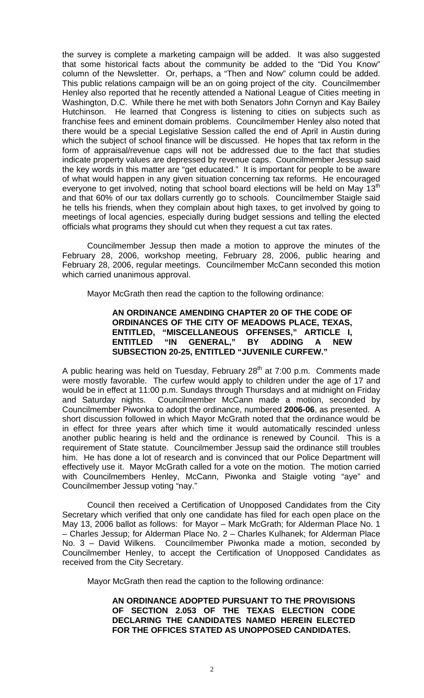the survey is complete a marketing campaign will be added. It was also suggested that some historical facts about the community be added to the "Did You Know" column of the Newsletter. Or, perhaps, a "Then and Now" column could be added. This public relations campaign will be an on going project of the city. Councilmember Henley also reported that he recently attended a National League of Cities meeting in Washington, D.C. While there he met with both Senators John Cornyn and Kay Bailey Hutchinson. He learned that Congress is listening to cities on subjects such as franchise fees and eminent domain problems. Councilmember Henley also noted that there would be a special Legislative Session called the end of April in Austin during which the subject of school finance will be discussed. He hopes that tax reform in the form of appraisal/revenue caps will not be addressed due to the fact that studies indicate property values are depressed by revenue caps. Councilmember Jessup said the key words in this matter are "get educated." It is important for people to be aware of what would happen in any given situation concerning tax reforms. He encouraged everyone to get involved, noting that school board elections will be held on May 13<sup>th</sup> and that 60% of our tax dollars currently go to schools. Councilmember Staigle said he tells his friends, when they complain about high taxes, to get involved by going to meetings of local agencies, especially during budget sessions and telling the elected officials what programs they should cut when they request a cut tax rates.

Councilmember Jessup then made a motion to approve the minutes of the February 28, 2006, workshop meeting, February 28, 2006, public hearing and February 28, 2006, regular meetings. Councilmember McCann seconded this motion which carried unanimous approval.

Mayor McGrath then read the caption to the following ordinance:

## **AN ORDINANCE AMENDING CHAPTER 20 OF THE CODE OF ORDINANCES OF THE CITY OF MEADOWS PLACE, TEXAS, ENTITLED, "MISCELLANEOUS OFFENSES," ARTICLE I, ENTITLED "IN GENERAL," BY ADDING A NEW SUBSECTION 20-25, ENTITLED "JUVENILE CURFEW."**

A public hearing was held on Tuesday, February  $28<sup>th</sup>$  at 7:00 p.m. Comments made were mostly favorable. The curfew would apply to children under the age of 17 and would be in effect at 11:00 p.m. Sundays through Thursdays and at midnight on Friday and Saturday nights. Councilmember McCann made a motion, seconded by Councilmember Piwonka to adopt the ordinance, numbered **2006-06**, as presented. A short discussion followed in which Mayor McGrath noted that the ordinance would be in effect for three years after which time it would automatically rescinded unless another public hearing is held and the ordinance is renewed by Council. This is a requirement of State statute. Councilmember Jessup said the ordinance still troubles him. He has done a lot of research and is convinced that our Police Department will effectively use it. Mayor McGrath called for a vote on the motion. The motion carried with Councilmembers Henley, McCann, Piwonka and Staigle voting "aye" and Councilmember Jessup voting "nay."

 Council then received a Certification of Unopposed Candidates from the City Secretary which verified that only one candidate has filed for each open place on the May 13, 2006 ballot as follows: for Mayor – Mark McGrath; for Alderman Place No. 1 – Charles Jessup; for Alderman Place No. 2 – Charles Kulhanek; for Alderman Place No. 3 – David Wilkens. Councilmember Piwonka made a motion, seconded by Councilmember Henley, to accept the Certification of Unopposed Candidates as received from the City Secretary.

Mayor McGrath then read the caption to the following ordinance:

## **AN ORDINANCE ADOPTED PURSUANT TO THE PROVISIONS OF SECTION 2.053 OF THE TEXAS ELECTION CODE DECLARING THE CANDIDATES NAMED HEREIN ELECTED FOR THE OFFICES STATED AS UNOPPOSED CANDIDATES.**